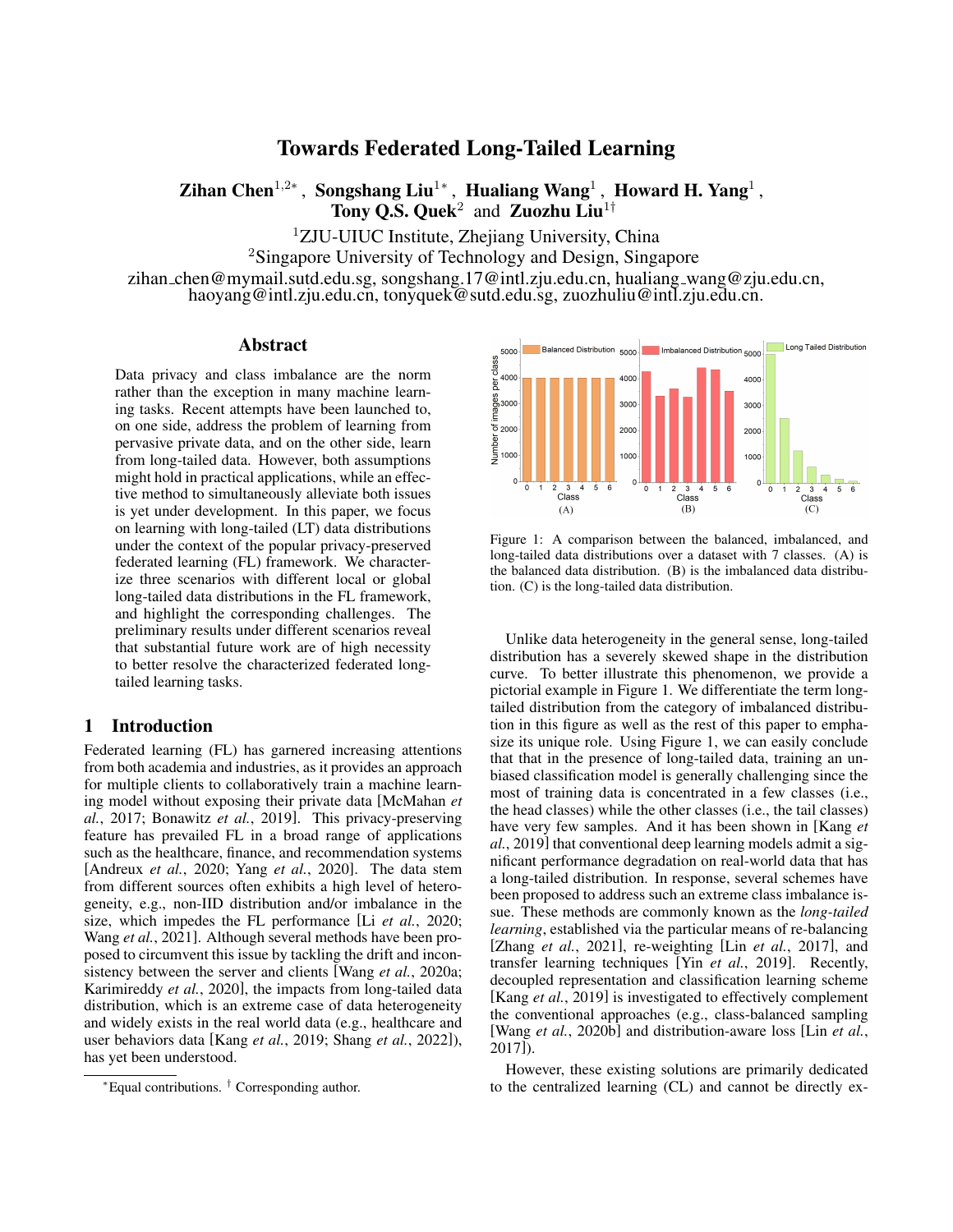# Towards Federated Long-Tailed Learning

Zihan Chen<sup>1,2∗</sup>, Songshang Liu<sup>1</sup>\*, Hualiang Wang<sup>1</sup>, Howard H. Yang<sup>1</sup>, Tony Q.S. Quek<sup>2</sup> and Zuozhu Liu<sup>1†</sup>

<sup>1</sup>ZJU-UIUC Institute, Zhejiang University, China

<sup>2</sup>Singapore University of Technology and Design, Singapore

zihan chen@mymail.sutd.edu.sg, songshang.17@intl.zju.edu.cn, hualiang wang@zju.edu.cn, haoyang@intl.zju.edu.cn, tonyquek@sutd.edu.sg, zuozhuliu@intl.zju.edu.cn.

#### Abstract

Data privacy and class imbalance are the norm rather than the exception in many machine learning tasks. Recent attempts have been launched to, on one side, address the problem of learning from pervasive private data, and on the other side, learn from long-tailed data. However, both assumptions might hold in practical applications, while an effective method to simultaneously alleviate both issues is yet under development. In this paper, we focus on learning with long-tailed (LT) data distributions under the context of the popular privacy-preserved federated learning (FL) framework. We characterize three scenarios with different local or global long-tailed data distributions in the FL framework, and highlight the corresponding challenges. The preliminary results under different scenarios reveal that substantial future work are of high necessity to better resolve the characterized federated longtailed learning tasks.

#### 1 Introduction

Federated learning (FL) has garnered increasing attentions from both academia and industries, as it provides an approach for multiple clients to collaboratively train a machine learning model without exposing their private data [\[McMahan](#page-5-0) *et al.*[, 2017;](#page-5-0) [Bonawitz](#page-5-1) *et al.*, 2019]. This privacy-preserving feature has prevailed FL in a broad range of applications such as the healthcare, finance, and recommendation systems [\[Andreux](#page-5-2) *et al.*, 2020; Yang *et al.*[, 2020\]](#page-6-0). The data stem from different sources often exhibits a high level of heterogeneity, e.g., non-IID distribution and/or imbalance in the size, which impedes the FL performance [Li *et al.*[, 2020;](#page-5-3) Wang *et al.*[, 2021\]](#page-6-1). Although several methods have been proposed to circumvent this issue by tackling the drift and inconsistency between the server and clients [Wang *et al.*[, 2020a;](#page-6-2) [Karimireddy](#page-5-4) *et al.*, 2020], the impacts from long-tailed data distribution, which is an extreme case of data heterogeneity and widely exists in the real world data (e.g., healthcare and user behaviors data [Kang *et al.*[, 2019;](#page-5-5) Shang *et al.*[, 2022\]](#page-6-3)), has yet been understood.

<span id="page-0-0"></span>

Figure 1: A comparison between the balanced, imbalanced, and long-tailed data distributions over a dataset with 7 classes. (A) is the balanced data distribution. (B) is the imbalanced data distribution. (C) is the long-tailed data distribution.

Unlike data heterogeneity in the general sense, long-tailed distribution has a severely skewed shape in the distribution curve. To better illustrate this phenomenon, we provide a pictorial example in Figure [1.](#page-0-0) We differentiate the term longtailed distribution from the category of imbalanced distribution in this figure as well as the rest of this paper to emphasize its unique role. Using Figure [1,](#page-0-0) we can easily conclude that that in the presence of long-tailed data, training an unbiased classification model is generally challenging since the most of training data is concentrated in a few classes (i.e., the head classes) while the other classes (i.e., the tail classes) have very few samples. And it has been shown in [\[Kang](#page-5-5) *et al.*[, 2019\]](#page-5-5) that conventional deep learning models admit a significant performance degradation on real-world data that has a long-tailed distribution. In response, several schemes have been proposed to address such an extreme class imbalance issue. These methods are commonly known as the *long-tailed learning*, established via the particular means of re-balancing [Zhang *et al.*[, 2021\]](#page-6-4), re-weighting [Lin *et al.*[, 2017\]](#page-5-6), and transfer learning techniques [Yin *et al.*[, 2019\]](#page-6-5). Recently, decoupled representation and classification learning scheme [Kang *et al.*[, 2019\]](#page-5-5) is investigated to effectively complement the conventional approaches (e.g., class-balanced sampling [Wang *et al.*[, 2020b\]](#page-6-6) and distribution-aware loss [Lin *[et al.](#page-5-6)*, [2017\]](#page-5-6)).

However, these existing solutions are primarily dedicated to the centralized learning (CL) and cannot be directly ex-

<sup>∗</sup>Equal contributions. † Corresponding author.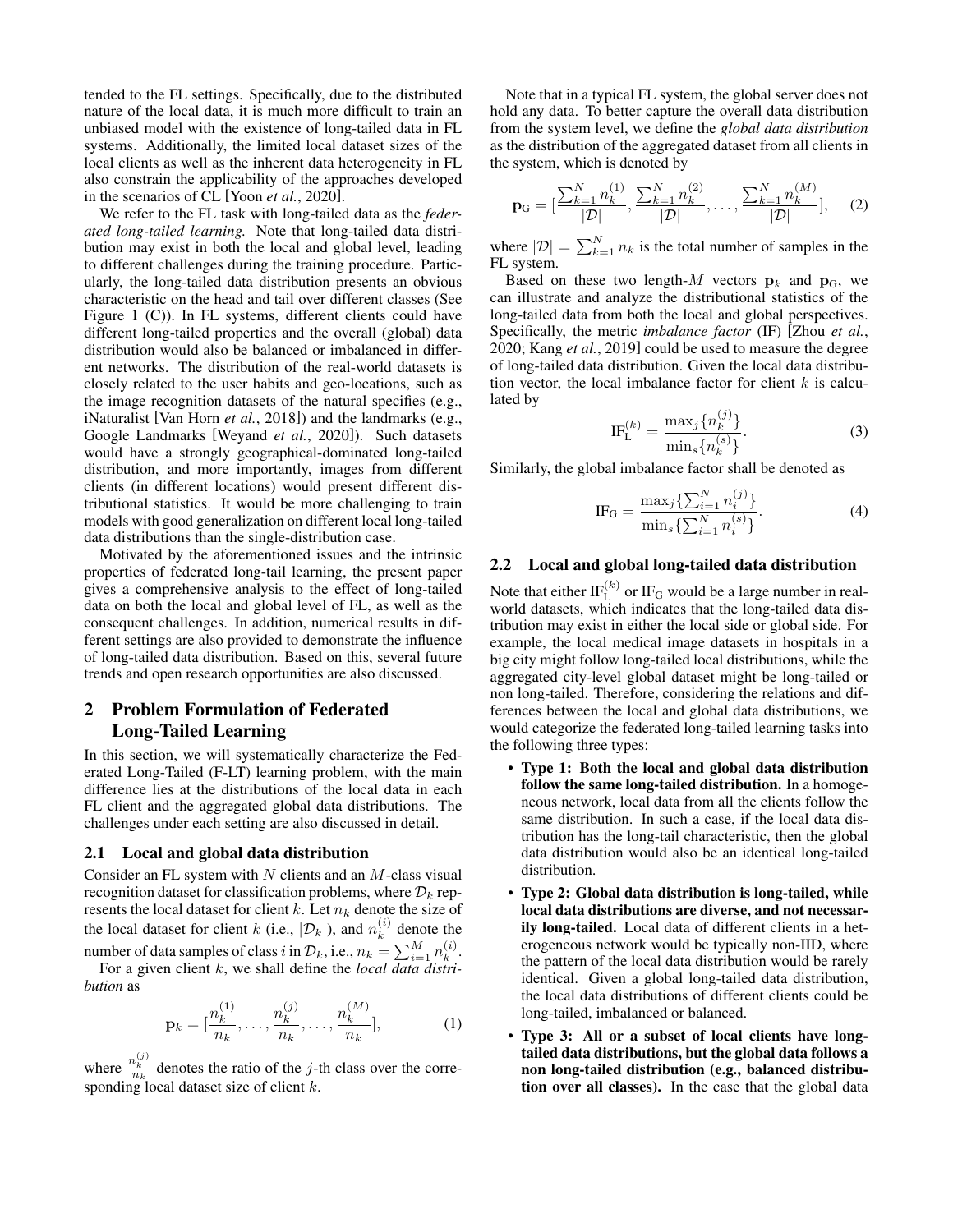tended to the FL settings. Specifically, due to the distributed nature of the local data, it is much more difficult to train an unbiased model with the existence of long-tailed data in FL systems. Additionally, the limited local dataset sizes of the local clients as well as the inherent data heterogeneity in FL also constrain the applicability of the approaches developed in the scenarios of CL [Yoon *et al.*[, 2020\]](#page-6-7).

We refer to the FL task with long-tailed data as the *federated long-tailed learning.* Note that long-tailed data distribution may exist in both the local and global level, leading to different challenges during the training procedure. Particularly, the long-tailed data distribution presents an obvious characteristic on the head and tail over different classes (See Figure [1](#page-0-0) (C)). In FL systems, different clients could have different long-tailed properties and the overall (global) data distribution would also be balanced or imbalanced in different networks. The distribution of the real-world datasets is closely related to the user habits and geo-locations, such as the image recognition datasets of the natural specifies (e.g., iNaturalist [\[Van Horn](#page-6-8) *et al.*, 2018]) and the landmarks (e.g., Google Landmarks [\[Weyand](#page-6-9) *et al.*, 2020]). Such datasets would have a strongly geographical-dominated long-tailed distribution, and more importantly, images from different clients (in different locations) would present different distributional statistics. It would be more challenging to train models with good generalization on different local long-tailed data distributions than the single-distribution case.

Motivated by the aforementioned issues and the intrinsic properties of federated long-tail learning, the present paper gives a comprehensive analysis to the effect of long-tailed data on both the local and global level of FL, as well as the consequent challenges. In addition, numerical results in different settings are also provided to demonstrate the influence of long-tailed data distribution. Based on this, several future trends and open research opportunities are also discussed.

## 2 Problem Formulation of Federated Long-Tailed Learning

In this section, we will systematically characterize the Federated Long-Tailed (F-LT) learning problem, with the main difference lies at the distributions of the local data in each FL client and the aggregated global data distributions. The challenges under each setting are also discussed in detail.

#### 2.1 Local and global data distribution

Consider an FL system with  $N$  clients and an  $M$ -class visual recognition dataset for classification problems, where  $\mathcal{D}_k$  represents the local dataset for client k. Let  $n_k$  denote the size of the local dataset for client k (i.e.,  $|\mathcal{D}_k|$ ), and  $n_k^{(i)}$  $k^{(i)}$  denote the number of data samples of class i in  $\mathcal{D}_k$ , i.e.,  $n_k = \sum_{i=1}^M n_k^{(i)}$ 

 $\frac{u}{k}$ . For a given client k, we shall define the *local data distribution* as

$$
\mathbf{p}_k = [\frac{n_k^{(1)}}{n_k}, \dots, \frac{n_k^{(j)}}{n_k}, \dots, \frac{n_k^{(M)}}{n_k}], \tag{1}
$$

where  $\frac{n_k^{(j)}}{n_k}$  denotes the ratio of the j-th class over the corresponding local dataset size of client  $k$ .

Note that in a typical FL system, the global server does not hold any data. To better capture the overall data distribution from the system level, we define the *global data distribution* as the distribution of the aggregated dataset from all clients in the system, which is denoted by

$$
\mathbf{p}_{\mathrm{G}} = [\frac{\sum_{k=1}^{N} n_{k}^{(1)}}{|\mathcal{D}|}, \frac{\sum_{k=1}^{N} n_{k}^{(2)}}{|\mathcal{D}|}, \dots, \frac{\sum_{k=1}^{N} n_{k}^{(M)}}{|\mathcal{D}|}], \quad (2)
$$

where  $|\mathcal{D}| = \sum_{k=1}^{N} n_k$  is the total number of samples in the FL system.

Based on these two length- $M$  vectors  $\mathbf{p}_k$  and  $\mathbf{p}_G$ , we can illustrate and analyze the distributional statistics of the long-tailed data from both the local and global perspectives. Specifically, the metric *imbalance factor* (IF) [\[Zhou](#page-6-10) *et al.*, [2020;](#page-6-10) Kang *et al.*[, 2019\]](#page-5-5) could be used to measure the degree of long-tailed data distribution. Given the local data distribution vector, the local imbalance factor for client  $k$  is calculated by

$$
\text{IF}_{\text{L}}^{(k)} = \frac{\max_{j} \{n_k^{(j)}\}}{\min_{s} \{n_k^{(s)}\}}.
$$
\n(3)

Similarly, the global imbalance factor shall be denoted as

IF<sub>G</sub> = 
$$
\frac{\max_j \{\sum_{i=1}^N n_i^{(j)}\}}{\min_s \{\sum_{i=1}^N n_i^{(s)}\}}.
$$
 (4)

#### 2.2 Local and global long-tailed data distribution

Note that either  $\text{IF}_{\text{L}}^{(k)}$  or  $\text{IF}_{\text{G}}$  would be a large number in realworld datasets, which indicates that the long-tailed data distribution may exist in either the local side or global side. For example, the local medical image datasets in hospitals in a big city might follow long-tailed local distributions, while the aggregated city-level global dataset might be long-tailed or non long-tailed. Therefore, considering the relations and differences between the local and global data distributions, we would categorize the federated long-tailed learning tasks into the following three types:

- Type 1: Both the local and global data distribution follow the same long-tailed distribution. In a homogeneous network, local data from all the clients follow the same distribution. In such a case, if the local data distribution has the long-tail characteristic, then the global data distribution would also be an identical long-tailed distribution.
- Type 2: Global data distribution is long-tailed, while local data distributions are diverse, and not necessarily long-tailed. Local data of different clients in a heterogeneous network would be typically non-IID, where the pattern of the local data distribution would be rarely identical. Given a global long-tailed data distribution, the local data distributions of different clients could be long-tailed, imbalanced or balanced.
- Type 3: All or a subset of local clients have longtailed data distributions, but the global data follows a non long-tailed distribution (e.g., balanced distribution over all classes). In the case that the global data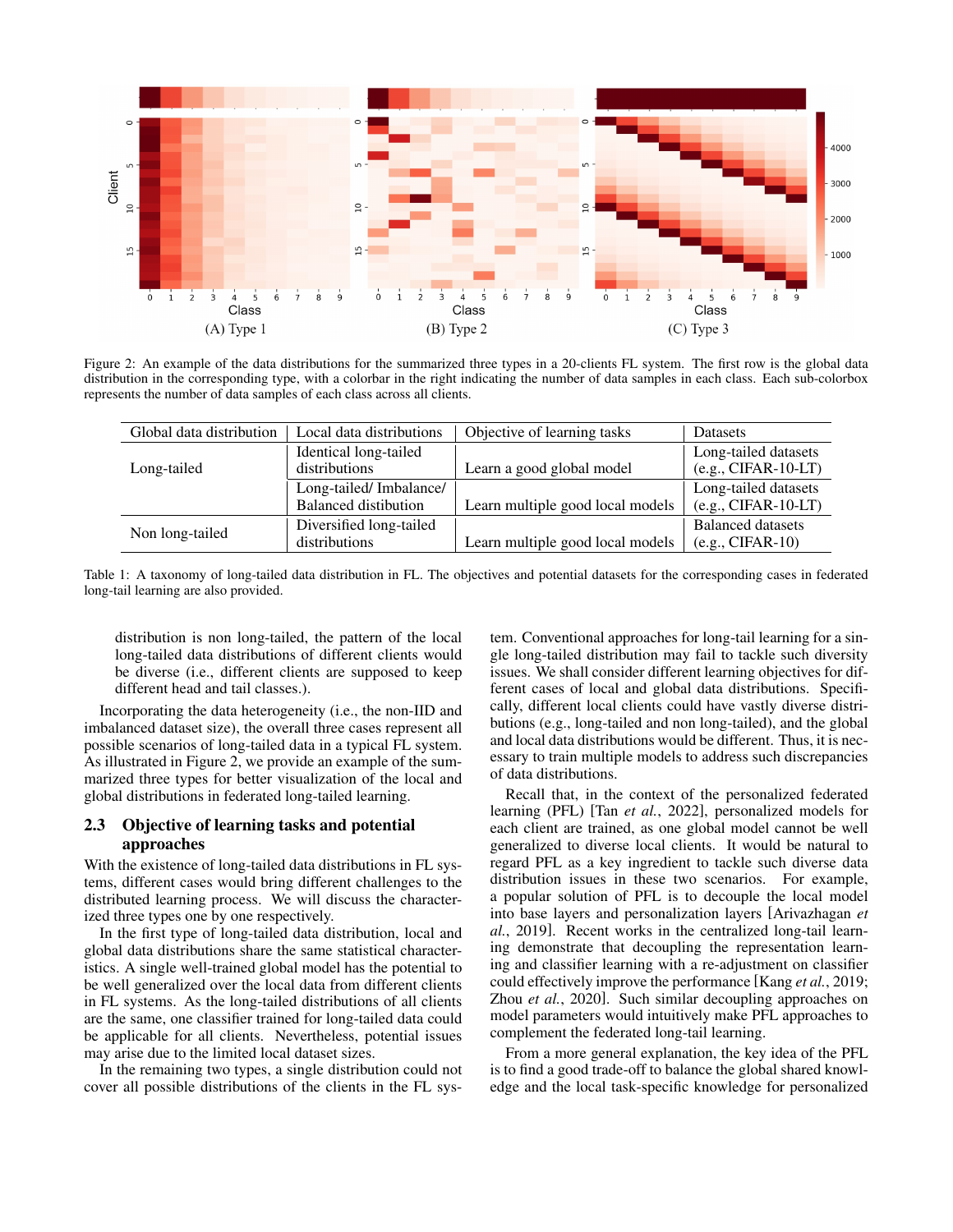<span id="page-2-0"></span>

Figure 2: An example of the data distributions for the summarized three types in a 20-clients FL system. The first row is the global data distribution in the corresponding type, with a colorbar in the right indicating the number of data samples in each class. Each sub-colorbox represents the number of data samples of each class across all clients.

<span id="page-2-2"></span>

| Global data distribution | Local data distributions | Objective of learning tasks      | <b>Datasets</b>          |
|--------------------------|--------------------------|----------------------------------|--------------------------|
|                          | Identical long-tailed    |                                  | Long-tailed datasets     |
| Long-tailed              | distributions            | Learn a good global model        | $(e.g., CIFAR-10-LT)$    |
|                          | Long-tailed/Imbalance/   |                                  | Long-tailed datasets     |
|                          | Balanced distibution     | Learn multiple good local models | $(e.g., CIFAR-10-LT)$    |
|                          | Diversified long-tailed  |                                  | <b>Balanced datasets</b> |
| Non long-tailed          | distributions            | Learn multiple good local models | $(e.g., CIFAR-10)$       |

Table 1: A taxonomy of long-tailed data distribution in FL. The objectives and potential datasets for the corresponding cases in federated long-tail learning are also provided.

distribution is non long-tailed, the pattern of the local long-tailed data distributions of different clients would be diverse (i.e., different clients are supposed to keep different head and tail classes.).

Incorporating the data heterogeneity (i.e., the non-IID and imbalanced dataset size), the overall three cases represent all possible scenarios of long-tailed data in a typical FL system. As illustrated in Figure [2,](#page-2-0) we provide an example of the summarized three types for better visualization of the local and global distributions in federated long-tailed learning.

#### <span id="page-2-1"></span>2.3 Objective of learning tasks and potential approaches

With the existence of long-tailed data distributions in FL systems, different cases would bring different challenges to the distributed learning process. We will discuss the characterized three types one by one respectively.

In the first type of long-tailed data distribution, local and global data distributions share the same statistical characteristics. A single well-trained global model has the potential to be well generalized over the local data from different clients in FL systems. As the long-tailed distributions of all clients are the same, one classifier trained for long-tailed data could be applicable for all clients. Nevertheless, potential issues may arise due to the limited local dataset sizes.

In the remaining two types, a single distribution could not cover all possible distributions of the clients in the FL system. Conventional approaches for long-tail learning for a single long-tailed distribution may fail to tackle such diversity issues. We shall consider different learning objectives for different cases of local and global data distributions. Specifically, different local clients could have vastly diverse distributions (e.g., long-tailed and non long-tailed), and the global and local data distributions would be different. Thus, it is necessary to train multiple models to address such discrepancies of data distributions.

Recall that, in the context of the personalized federated learning (PFL) [Tan *et al.*[, 2022\]](#page-6-11), personalized models for each client are trained, as one global model cannot be well generalized to diverse local clients. It would be natural to regard PFL as a key ingredient to tackle such diverse data distribution issues in these two scenarios. For example, a popular solution of PFL is to decouple the local model into base layers and personalization layers [\[Arivazhagan](#page-5-7) *et al.*[, 2019\]](#page-5-7). Recent works in the centralized long-tail learning demonstrate that decoupling the representation learning and classifier learning with a re-adjustment on classifier could effectively improve the performance [Kang *et al.*[, 2019;](#page-5-5) Zhou *et al.*[, 2020\]](#page-6-10). Such similar decoupling approaches on model parameters would intuitively make PFL approaches to complement the federated long-tail learning.

From a more general explanation, the key idea of the PFL is to find a good trade-off to balance the global shared knowledge and the local task-specific knowledge for personalized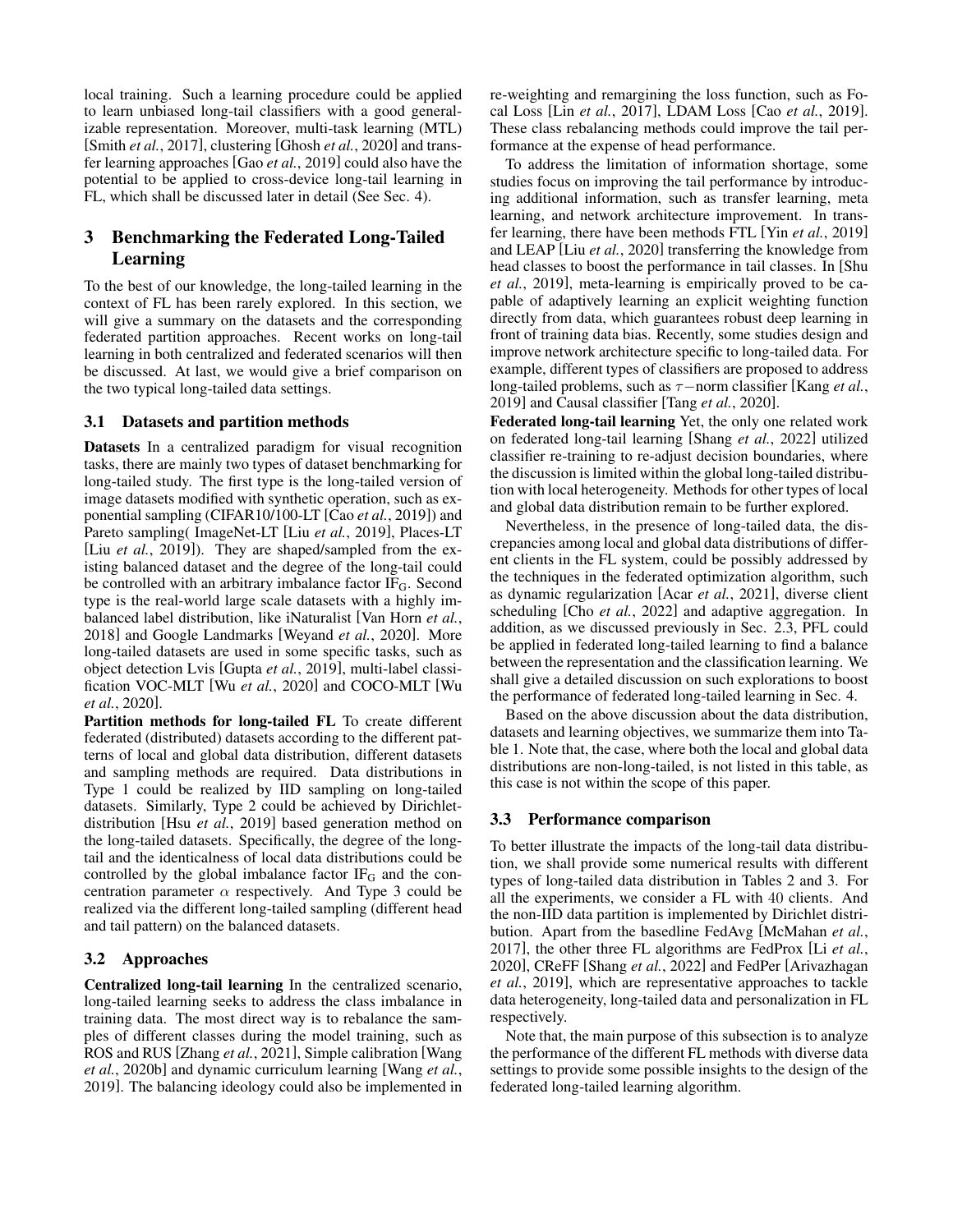local training. Such a learning procedure could be applied to learn unbiased long-tail classifiers with a good generalizable representation. Moreover, multi-task learning (MTL) [Smith *et al.*[, 2017\]](#page-6-12), clustering [\[Ghosh](#page-5-8) *et al.*, 2020] and transfer learning approaches [Gao *et al.*[, 2019\]](#page-5-9) could also have the potential to be applied to cross-device long-tail learning in FL, which shall be discussed later in detail (See Sec. [4\)](#page-4-0).

# 3 Benchmarking the Federated Long-Tailed Learning

To the best of our knowledge, the long-tailed learning in the context of FL has been rarely explored. In this section, we will give a summary on the datasets and the corresponding federated partition approaches. Recent works on long-tail learning in both centralized and federated scenarios will then be discussed. At last, we would give a brief comparison on the two typical long-tailed data settings.

#### 3.1 Datasets and partition methods

Datasets In a centralized paradigm for visual recognition tasks, there are mainly two types of dataset benchmarking for long-tailed study. The first type is the long-tailed version of image datasets modified with synthetic operation, such as exponential sampling (CIFAR10/100-LT [Cao *et al.*[, 2019\]](#page-5-10)) and Pareto sampling( ImageNet-LT [Liu *et al.*[, 2019\]](#page-5-11), Places-LT [Liu *et al.*[, 2019\]](#page-5-11)). They are shaped/sampled from the existing balanced dataset and the degree of the long-tail could be controlled with an arbitrary imbalance factor  $IF_G$ . Second type is the real-world large scale datasets with a highly imbalanced label distribution, like iNaturalist [\[Van Horn](#page-6-8) *et al.*, [2018\]](#page-6-8) and Google Landmarks [\[Weyand](#page-6-9) *et al.*, 2020]. More long-tailed datasets are used in some specific tasks, such as object detection Lvis [Gupta *et al.*[, 2019\]](#page-5-12), multi-label classification VOC-MLT [Wu *et al.*[, 2020\]](#page-6-13) and COCO-MLT [\[Wu](#page-6-13) *et al.*[, 2020\]](#page-6-13).

Partition methods for long-tailed FL To create different federated (distributed) datasets according to the different patterns of local and global data distribution, different datasets and sampling methods are required. Data distributions in Type 1 could be realized by IID sampling on long-tailed datasets. Similarly, Type 2 could be achieved by Dirichletdistribution [Hsu *et al.*[, 2019\]](#page-5-13) based generation method on the long-tailed datasets. Specifically, the degree of the longtail and the identicalness of local data distributions could be controlled by the global imbalance factor  $IF_G$  and the concentration parameter  $\alpha$  respectively. And Type 3 could be realized via the different long-tailed sampling (different head and tail pattern) on the balanced datasets.

### 3.2 Approaches

Centralized long-tail learning In the centralized scenario, long-tailed learning seeks to address the class imbalance in training data. The most direct way is to rebalance the samples of different classes during the model training, such as ROS and RUS [\[Zhang](#page-6-4) *et al.*, 2021], Simple calibration [\[Wang](#page-6-6) *et al.*[, 2020b\]](#page-6-6) and dynamic curriculum learning [\[Wang](#page-6-14) *et al.*, [2019\]](#page-6-14). The balancing ideology could also be implemented in re-weighting and remargining the loss function, such as Focal Loss [Lin *et al.*[, 2017\]](#page-5-6), LDAM Loss [Cao *et al.*[, 2019\]](#page-5-10). These class rebalancing methods could improve the tail performance at the expense of head performance.

To address the limitation of information shortage, some studies focus on improving the tail performance by introducing additional information, such as transfer learning, meta learning, and network architecture improvement. In transfer learning, there have been methods FTL [Yin *et al.*[, 2019\]](#page-6-5) and LEAP [Liu *et al.*[, 2020\]](#page-5-14) transferring the knowledge from head classes to boost the performance in tail classes. In [\[Shu](#page-6-15) *et al.*[, 2019\]](#page-6-15), meta-learning is empirically proved to be capable of adaptively learning an explicit weighting function directly from data, which guarantees robust deep learning in front of training data bias. Recently, some studies design and improve network architecture specific to long-tailed data. For example, different types of classifiers are proposed to address long-tailed problems, such as τ−norm classifier [\[Kang](#page-5-5) *et al.*, [2019\]](#page-5-5) and Causal classifier [Tang *et al.*[, 2020\]](#page-6-16).

Federated long-tail learning Yet, the only one related work on federated long-tail learning [Shang *et al.*[, 2022\]](#page-6-3) utilized classifier re-training to re-adjust decision boundaries, where the discussion is limited within the global long-tailed distribution with local heterogeneity. Methods for other types of local and global data distribution remain to be further explored.

Nevertheless, in the presence of long-tailed data, the discrepancies among local and global data distributions of different clients in the FL system, could be possibly addressed by the techniques in the federated optimization algorithm, such as dynamic regularization [Acar *et al.*[, 2021\]](#page-5-15), diverse client scheduling [Cho *et al.*[, 2022\]](#page-5-16) and adaptive aggregation. In addition, as we discussed previously in Sec. [2.3,](#page-2-1) PFL could be applied in federated long-tailed learning to find a balance between the representation and the classification learning. We shall give a detailed discussion on such explorations to boost the performance of federated long-tailed learning in Sec. [4.](#page-4-0)

Based on the above discussion about the data distribution, datasets and learning objectives, we summarize them into Table [1.](#page-2-2) Note that, the case, where both the local and global data distributions are non-long-tailed, is not listed in this table, as this case is not within the scope of this paper.

### 3.3 Performance comparison

To better illustrate the impacts of the long-tail data distribution, we shall provide some numerical results with different types of long-tailed data distribution in Tables [2](#page-4-1) and [3.](#page-4-2) For all the experiments, we consider a FL with 40 clients. And the non-IID data partition is implemented by Dirichlet distribution. Apart from the basedline FedAvg [\[McMahan](#page-5-0) *et al.*, [2017\]](#page-5-0), the other three FL algorithms are FedProx [Li *[et al.](#page-5-3)*, [2020\]](#page-5-3), CReFF [Shang *et al.*[, 2022\]](#page-6-3) and FedPer [\[Arivazhagan](#page-5-7) *et al.*[, 2019\]](#page-5-7), which are representative approaches to tackle data heterogeneity, long-tailed data and personalization in FL respectively.

Note that, the main purpose of this subsection is to analyze the performance of the different FL methods with diverse data settings to provide some possible insights to the design of the federated long-tailed learning algorithm.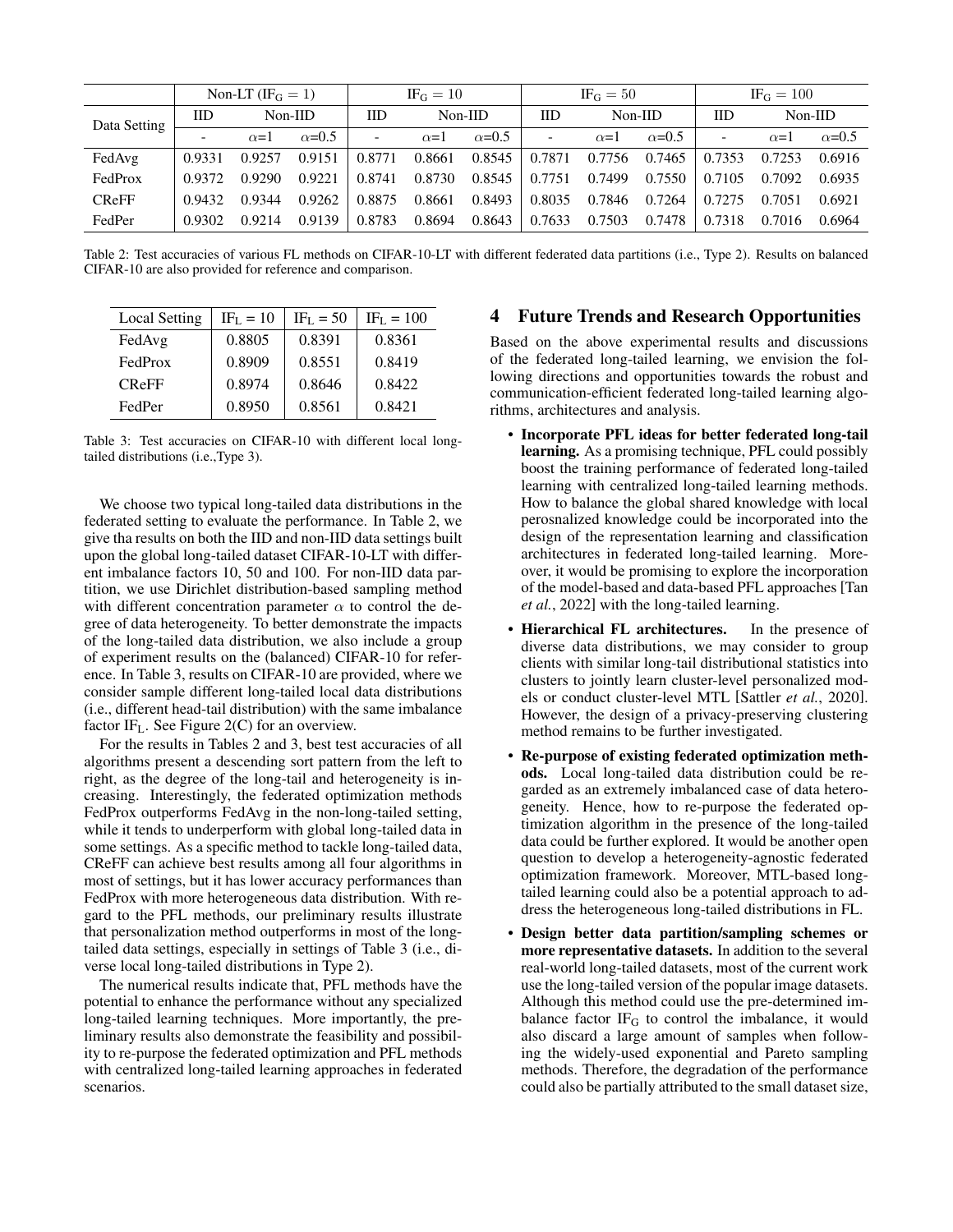<span id="page-4-1"></span>

|              |                          | Non-LT (IF <sub>G</sub> = 1) |               | $IF_G = 10$              |            | $IF_G = 50$   |                          |            | $IF_G = 100$  |                          |            |               |
|--------------|--------------------------|------------------------------|---------------|--------------------------|------------|---------------|--------------------------|------------|---------------|--------------------------|------------|---------------|
| Data Setting | IID                      | $Non-IID$                    |               | IID<br>$Non-IID$         |            | IID           | $Non-IID$                |            | <b>IID</b>    | $Non-IID$                |            |               |
|              | $\overline{\phantom{0}}$ | $\alpha = 1$                 | $\alpha$ =0.5 | $\overline{\phantom{0}}$ | $\alpha=1$ | $\alpha$ =0.5 | $\overline{\phantom{a}}$ | $\alpha=1$ | $\alpha$ =0.5 | $\overline{\phantom{0}}$ | $\alpha=1$ | $\alpha$ =0.5 |
| FedAvg       | 0.9331                   | 0.9257                       | 0.9151        | 0.8771                   | 0.8661     | 0.8545        | 0.7871                   | 0.7756     | 0.7465        | 0.7353                   | 0.7253     | 0.6916        |
| FedProx      | 0.9372                   | 0.9290                       | 0.9221        | 0.8741                   | 0.8730     | 0.8545        | 0.7751                   | 0.7499     | 0.7550        | 0.7105                   | 0.7092     | 0.6935        |
| <b>CReFF</b> | 0.9432                   | 0.9344                       | 0.9262        | 0.8875                   | 0.8661     | 0.8493        | 0.8035                   | 0.7846     | 0.7264        | 0.7275                   | 0.7051     | 0.6921        |
| FedPer       | 0.9302                   | 0.9214                       | 0.9139        | 0.8783                   | 0.8694     | 0.8643        | 0.7633                   | 0.7503     | 0.7478        | 0.7318                   | 0.7016     | 0.6964        |

Table 2: Test accuracies of various FL methods on CIFAR-10-LT with different federated data partitions (i.e., Type 2). Results on balanced CIFAR-10 are also provided for reference and comparison.

<span id="page-4-2"></span>

| Local Setting | $IFL = 10$ | $IFL = 50$ | $IFL = 100$ |
|---------------|------------|------------|-------------|
| FedAvg        | 0.8805     | 0.8391     | 0.8361      |
| FedProx       | 0.8909     | 0.8551     | 0.8419      |
| <b>CReFF</b>  | 0.8974     | 0.8646     | 0.8422      |
| FedPer        | 0.8950     | 0.8561     | 0.8421      |

Table 3: Test accuracies on CIFAR-10 with different local longtailed distributions (i.e.,Type 3).

We choose two typical long-tailed data distributions in the federated setting to evaluate the performance. In Table [2,](#page-4-1) we give tha results on both the IID and non-IID data settings built upon the global long-tailed dataset CIFAR-10-LT with different imbalance factors 10, 50 and 100. For non-IID data partition, we use Dirichlet distribution-based sampling method with different concentration parameter  $\alpha$  to control the degree of data heterogeneity. To better demonstrate the impacts of the long-tailed data distribution, we also include a group of experiment results on the (balanced) CIFAR-10 for reference. In Table [3,](#page-4-2) results on CIFAR-10 are provided, where we consider sample different long-tailed local data distributions (i.e., different head-tail distribution) with the same imbalance factor IF<sub>L</sub>. See Figure [2\(](#page-2-0)C) for an overview.

For the results in Tables [2](#page-4-1) and [3,](#page-4-2) best test accuracies of all algorithms present a descending sort pattern from the left to right, as the degree of the long-tail and heterogeneity is increasing. Interestingly, the federated optimization methods FedProx outperforms FedAvg in the non-long-tailed setting, while it tends to underperform with global long-tailed data in some settings. As a specific method to tackle long-tailed data, CReFF can achieve best results among all four algorithms in most of settings, but it has lower accuracy performances than FedProx with more heterogeneous data distribution. With regard to the PFL methods, our preliminary results illustrate that personalization method outperforms in most of the longtailed data settings, especially in settings of Table [3](#page-4-2) (i.e., diverse local long-tailed distributions in Type 2).

The numerical results indicate that, PFL methods have the potential to enhance the performance without any specialized long-tailed learning techniques. More importantly, the preliminary results also demonstrate the feasibility and possibility to re-purpose the federated optimization and PFL methods with centralized long-tailed learning approaches in federated scenarios.

## <span id="page-4-0"></span>4 Future Trends and Research Opportunities

Based on the above experimental results and discussions of the federated long-tailed learning, we envision the following directions and opportunities towards the robust and communication-efficient federated long-tailed learning algorithms, architectures and analysis.

- Incorporate PFL ideas for better federated long-tail learning. As a promising technique, PFL could possibly boost the training performance of federated long-tailed learning with centralized long-tailed learning methods. How to balance the global shared knowledge with local perosnalized knowledge could be incorporated into the design of the representation learning and classification architectures in federated long-tailed learning. Moreover, it would be promising to explore the incorporation of the model-based and data-based PFL approaches [\[Tan](#page-6-11) *et al.*[, 2022\]](#page-6-11) with the long-tailed learning.
- Hierarchical FL architectures. In the presence of diverse data distributions, we may consider to group clients with similar long-tail distributional statistics into clusters to jointly learn cluster-level personalized models or conduct cluster-level MTL [\[Sattler](#page-5-17) *et al.*, 2020]. However, the design of a privacy-preserving clustering method remains to be further investigated.
- Re-purpose of existing federated optimization methods. Local long-tailed data distribution could be regarded as an extremely imbalanced case of data heterogeneity. Hence, how to re-purpose the federated optimization algorithm in the presence of the long-tailed data could be further explored. It would be another open question to develop a heterogeneity-agnostic federated optimization framework. Moreover, MTL-based longtailed learning could also be a potential approach to address the heterogeneous long-tailed distributions in FL.
- Design better data partition/sampling schemes or more representative datasets. In addition to the several real-world long-tailed datasets, most of the current work use the long-tailed version of the popular image datasets. Although this method could use the pre-determined imbalance factor  $IF_G$  to control the imbalance, it would also discard a large amount of samples when following the widely-used exponential and Pareto sampling methods. Therefore, the degradation of the performance could also be partially attributed to the small dataset size,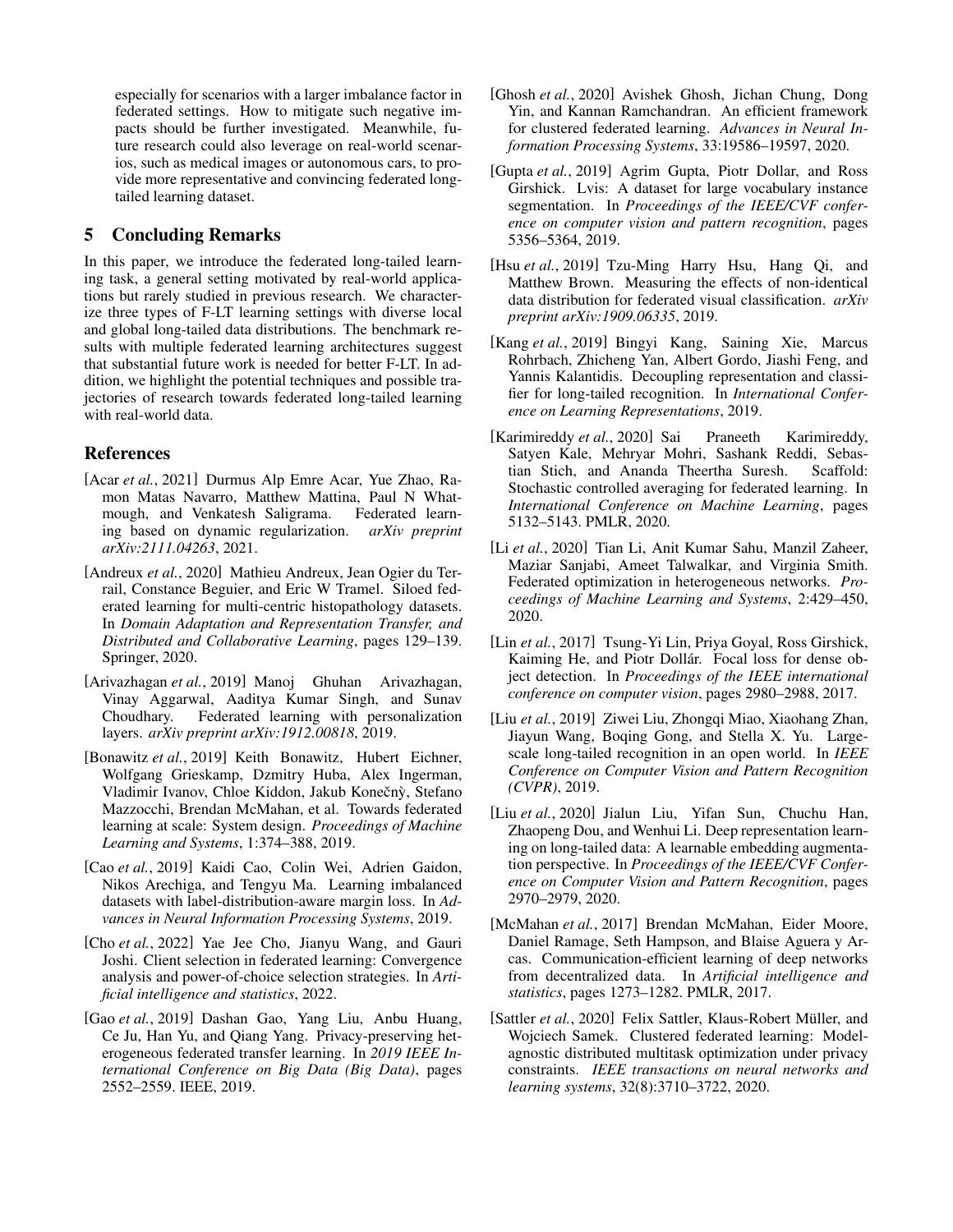especially for scenarios with a larger imbalance factor in federated settings. How to mitigate such negative impacts should be further investigated. Meanwhile, future research could also leverage on real-world scenarios, such as medical images or autonomous cars, to provide more representative and convincing federated longtailed learning dataset.

## 5 Concluding Remarks

In this paper, we introduce the federated long-tailed learning task, a general setting motivated by real-world applications but rarely studied in previous research. We characterize three types of F-LT learning settings with diverse local and global long-tailed data distributions. The benchmark results with multiple federated learning architectures suggest that substantial future work is needed for better F-LT. In addition, we highlight the potential techniques and possible trajectories of research towards federated long-tailed learning with real-world data.

## References

- <span id="page-5-15"></span>[Acar *et al.*, 2021] Durmus Alp Emre Acar, Yue Zhao, Ramon Matas Navarro, Matthew Mattina, Paul N Whatmough, and Venkatesh Saligrama. Federated learning based on dynamic regularization. *arXiv preprint arXiv:2111.04263*, 2021.
- <span id="page-5-2"></span>[Andreux *et al.*, 2020] Mathieu Andreux, Jean Ogier du Terrail, Constance Beguier, and Eric W Tramel. Siloed federated learning for multi-centric histopathology datasets. In *Domain Adaptation and Representation Transfer, and Distributed and Collaborative Learning*, pages 129–139. Springer, 2020.
- <span id="page-5-7"></span>[Arivazhagan *et al.*, 2019] Manoj Ghuhan Arivazhagan, Vinay Aggarwal, Aaditya Kumar Singh, and Sunav Choudhary. Federated learning with personalization layers. *arXiv preprint arXiv:1912.00818*, 2019.
- <span id="page-5-1"></span>[Bonawitz *et al.*, 2019] Keith Bonawitz, Hubert Eichner, Wolfgang Grieskamp, Dzmitry Huba, Alex Ingerman, Vladimir Ivanov, Chloe Kiddon, Jakub Konečný, Stefano Mazzocchi, Brendan McMahan, et al. Towards federated learning at scale: System design. *Proceedings of Machine Learning and Systems*, 1:374–388, 2019.
- <span id="page-5-10"></span>[Cao *et al.*, 2019] Kaidi Cao, Colin Wei, Adrien Gaidon, Nikos Arechiga, and Tengyu Ma. Learning imbalanced datasets with label-distribution-aware margin loss. In *Advances in Neural Information Processing Systems*, 2019.
- <span id="page-5-16"></span>[Cho *et al.*, 2022] Yae Jee Cho, Jianyu Wang, and Gauri Joshi. Client selection in federated learning: Convergence analysis and power-of-choice selection strategies. In *Artificial intelligence and statistics*, 2022.
- <span id="page-5-9"></span>[Gao *et al.*, 2019] Dashan Gao, Yang Liu, Anbu Huang, Ce Ju, Han Yu, and Qiang Yang. Privacy-preserving heterogeneous federated transfer learning. In *2019 IEEE International Conference on Big Data (Big Data)*, pages 2552–2559. IEEE, 2019.
- <span id="page-5-8"></span>[Ghosh *et al.*, 2020] Avishek Ghosh, Jichan Chung, Dong Yin, and Kannan Ramchandran. An efficient framework for clustered federated learning. *Advances in Neural Information Processing Systems*, 33:19586–19597, 2020.
- <span id="page-5-12"></span>[Gupta *et al.*, 2019] Agrim Gupta, Piotr Dollar, and Ross Girshick. Lvis: A dataset for large vocabulary instance segmentation. In *Proceedings of the IEEE/CVF conference on computer vision and pattern recognition*, pages 5356–5364, 2019.
- <span id="page-5-13"></span>[Hsu *et al.*, 2019] Tzu-Ming Harry Hsu, Hang Qi, and Matthew Brown. Measuring the effects of non-identical data distribution for federated visual classification. *arXiv preprint arXiv:1909.06335*, 2019.
- <span id="page-5-5"></span>[Kang *et al.*, 2019] Bingyi Kang, Saining Xie, Marcus Rohrbach, Zhicheng Yan, Albert Gordo, Jiashi Feng, and Yannis Kalantidis. Decoupling representation and classifier for long-tailed recognition. In *International Conference on Learning Representations*, 2019.
- <span id="page-5-4"></span>[Karimireddy et al., 2020] Sai Praneeth Karimireddy, Satyen Kale, Mehryar Mohri, Sashank Reddi, Sebastian Stich, and Ananda Theertha Suresh. Scaffold: Stochastic controlled averaging for federated learning. In *International Conference on Machine Learning*, pages 5132–5143. PMLR, 2020.
- <span id="page-5-3"></span>[Li *et al.*, 2020] Tian Li, Anit Kumar Sahu, Manzil Zaheer, Maziar Sanjabi, Ameet Talwalkar, and Virginia Smith. Federated optimization in heterogeneous networks. *Proceedings of Machine Learning and Systems*, 2:429–450, 2020.
- <span id="page-5-6"></span>[Lin et al., 2017] Tsung-Yi Lin, Priya Goyal, Ross Girshick, Kaiming He, and Piotr Dollár. Focal loss for dense object detection. In *Proceedings of the IEEE international conference on computer vision*, pages 2980–2988, 2017.
- <span id="page-5-11"></span>[Liu et al., 2019] Ziwei Liu, Zhongqi Miao, Xiaohang Zhan, Jiayun Wang, Boqing Gong, and Stella X. Yu. Largescale long-tailed recognition in an open world. In *IEEE Conference on Computer Vision and Pattern Recognition (CVPR)*, 2019.
- <span id="page-5-14"></span>[Liu *et al.*, 2020] Jialun Liu, Yifan Sun, Chuchu Han, Zhaopeng Dou, and Wenhui Li. Deep representation learning on long-tailed data: A learnable embedding augmentation perspective. In *Proceedings of the IEEE/CVF Conference on Computer Vision and Pattern Recognition*, pages 2970–2979, 2020.
- <span id="page-5-0"></span>[McMahan *et al.*, 2017] Brendan McMahan, Eider Moore, Daniel Ramage, Seth Hampson, and Blaise Aguera y Arcas. Communication-efficient learning of deep networks from decentralized data. In *Artificial intelligence and statistics*, pages 1273–1282. PMLR, 2017.
- <span id="page-5-17"></span>[Sattler *et al.*, 2020] Felix Sattler, Klaus-Robert Müller, and Wojciech Samek. Clustered federated learning: Modelagnostic distributed multitask optimization under privacy constraints. *IEEE transactions on neural networks and learning systems*, 32(8):3710–3722, 2020.